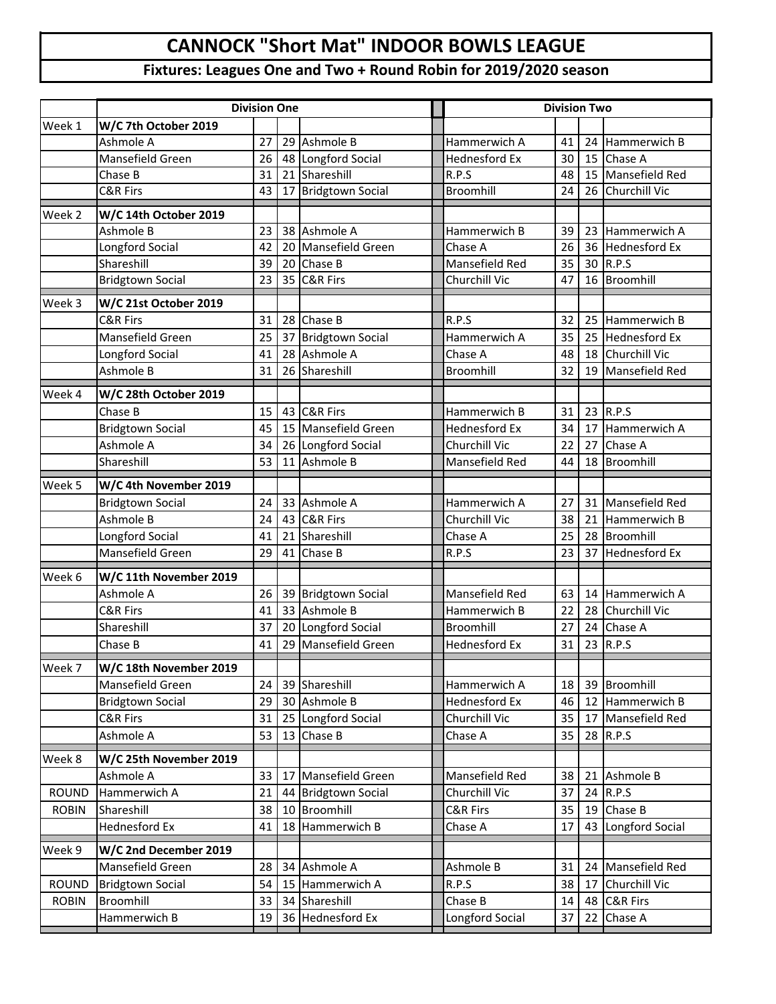## **CANNOCK "Short Mat" INDOOR BOWLS LEAGUE**

## **Fixtures: Leagues One and Two + Round Robin for 2019/2020 season**

|              | <b>Division One</b>     |    |    |                         |  | <b>Division Two</b>   |    |    |                      |
|--------------|-------------------------|----|----|-------------------------|--|-----------------------|----|----|----------------------|
| Week 1       | W/C 7th October 2019    |    |    |                         |  |                       |    |    |                      |
|              | Ashmole A               | 27 | 29 | Ashmole B               |  | Hammerwich A          | 41 | 24 | Hammerwich B         |
|              | Mansefield Green        | 26 |    | 48 Longford Social      |  | <b>Hednesford Ex</b>  | 30 | 15 | Chase A              |
|              | Chase B                 | 31 | 21 | Shareshill              |  | R.P.S                 | 48 | 15 | Mansefield Red       |
|              | <b>C&amp;R Firs</b>     | 43 | 17 | <b>Bridgtown Social</b> |  | Broomhill             | 24 | 26 | Churchill Vic        |
| Week 2       | W/C 14th October 2019   |    |    |                         |  |                       |    |    |                      |
|              | Ashmole B               | 23 |    | 38 Ashmole A            |  | Hammerwich B          | 39 |    | 23 Hammerwich A      |
|              | Longford Social         | 42 | 20 | Mansefield Green        |  | Chase A               | 26 |    | 36 Hednesford Ex     |
|              | Shareshill              | 39 | 20 | Chase B                 |  | <b>Mansefield Red</b> | 35 |    | 30 R.P.S             |
|              | <b>Bridgtown Social</b> | 23 | 35 | <b>C&amp;R Firs</b>     |  | Churchill Vic         | 47 | 16 | Broomhill            |
| Week 3       | W/C 21st October 2019   |    |    |                         |  |                       |    |    |                      |
|              | <b>C&amp;R Firs</b>     | 31 |    | 28 Chase B              |  | R.P.S                 | 32 |    | 25 Hammerwich B      |
|              | Mansefield Green        | 25 | 37 | <b>Bridgtown Social</b> |  | Hammerwich A          | 35 |    | 25 Hednesford Ex     |
|              | Longford Social         | 41 |    | 28 Ashmole A            |  | Chase A               | 48 |    | 18 Churchill Vic     |
|              | Ashmole B               | 31 | 26 | Shareshill              |  | Broomhill             | 32 | 19 | Mansefield Red       |
| Week 4       | W/C 28th October 2019   |    |    |                         |  |                       |    |    |                      |
|              | Chase B                 | 15 |    | 43 C&R Firs             |  | Hammerwich B          | 31 |    | 23 R.P.S             |
|              | <b>Bridgtown Social</b> | 45 |    | 15 Mansefield Green     |  | <b>Hednesford Ex</b>  | 34 | 17 | Hammerwich A         |
|              | Ashmole A               | 34 |    | 26 Longford Social      |  | Churchill Vic         | 22 | 27 | Chase A              |
|              | Shareshill              | 53 | 11 | Ashmole B               |  | Mansefield Red        | 44 | 18 | Broomhill            |
| Week 5       | W/C 4th November 2019   |    |    |                         |  |                       |    |    |                      |
|              | <b>Bridgtown Social</b> | 24 |    | 33 Ashmole A            |  | Hammerwich A          | 27 |    | 31 Mansefield Red    |
|              | Ashmole B               | 24 |    | 43 C&R Firs             |  | Churchill Vic         | 38 |    | 21 Hammerwich B      |
|              | Longford Social         | 41 | 21 | Shareshill              |  | Chase A               | 25 |    | 28 Broomhill         |
|              | Mansefield Green        | 29 | 41 | Chase B                 |  | R.P.S                 | 23 | 37 | <b>Hednesford Ex</b> |
| Week 6       | W/C 11th November 2019  |    |    |                         |  |                       |    |    |                      |
|              | Ashmole A               | 26 |    | 39 Bridgtown Social     |  | Mansefield Red        | 63 |    | 14 Hammerwich A      |
|              | C&R Firs                | 41 |    | 33 Ashmole B            |  | Hammerwich B          | 22 | 28 | Churchill Vic        |
|              | Shareshill              | 37 |    | 20 Longford Social      |  | Broomhill             | 27 | 24 | Chase A              |
|              | Chase B                 | 41 | 29 | Mansefield Green        |  | <b>Hednesford Ex</b>  | 31 | 23 | R.P.S                |
| Week 7       | W/C 18th November 2019  |    |    |                         |  |                       |    |    |                      |
|              | Mansefield Green        | 24 |    | 39 Shareshill           |  | Hammerwich A          | 18 | 39 | Broomhill            |
|              | <b>Bridgtown Social</b> | 29 | 30 | Ashmole B               |  | Hednesford Ex         | 46 | 12 | Hammerwich B         |
|              | C&R Firs                | 31 | 25 | Longford Social         |  | Churchill Vic         | 35 | 17 | Mansefield Red       |
|              | Ashmole A               | 53 | 13 | Chase B                 |  | Chase A               | 35 | 28 | R.P.S                |
| Week 8       | W/C 25th November 2019  |    |    |                         |  |                       |    |    |                      |
|              | Ashmole A               | 33 | 17 | Mansefield Green        |  | Mansefield Red        | 38 |    | 21 Ashmole B         |
| <b>ROUND</b> | Hammerwich A            | 21 | 44 | <b>Bridgtown Social</b> |  | Churchill Vic         | 37 | 24 | R.P.S                |
| <b>ROBIN</b> | Shareshill              | 38 | 10 | Broomhill               |  | C&R Firs              | 35 | 19 | Chase B              |
|              | <b>Hednesford Ex</b>    | 41 | 18 | Hammerwich B            |  | Chase A               | 17 | 43 | Longford Social      |
| Week 9       | W/C 2nd December 2019   |    |    |                         |  |                       |    |    |                      |
|              | Mansefield Green        | 28 | 34 | Ashmole A               |  | Ashmole B             | 31 |    | 24 Mansefield Red    |
| <b>ROUND</b> | <b>Bridgtown Social</b> | 54 | 15 | Hammerwich A            |  | R.P.S                 | 38 | 17 | Churchill Vic        |
| <b>ROBIN</b> | Broomhill               | 33 | 34 | Shareshill              |  | Chase B               | 14 | 48 | <b>C&amp;R Firs</b>  |
|              | Hammerwich B            | 19 | 36 | Hednesford Ex           |  | Longford Social       | 37 | 22 | Chase A              |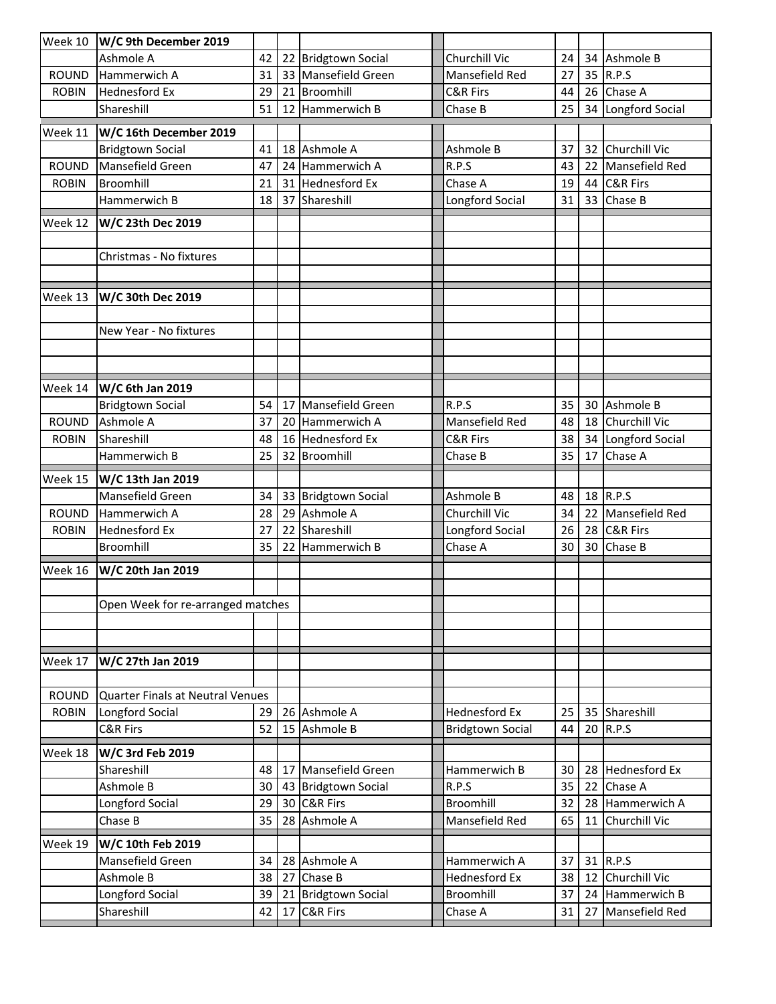| Week 10      | W/C 9th December 2019                |    |    |                         |                         |    |          |                      |
|--------------|--------------------------------------|----|----|-------------------------|-------------------------|----|----------|----------------------|
|              | Ashmole A                            | 42 |    | 22 Bridgtown Social     | Churchill Vic           | 24 | 34       | Ashmole B            |
| <b>ROUND</b> | Hammerwich A                         | 31 |    | 33 Mansefield Green     | Mansefield Red          | 27 | 35       | R.P.S                |
| <b>ROBIN</b> | <b>Hednesford Ex</b>                 | 29 |    | 21 Broomhill            | <b>C&amp;R Firs</b>     | 44 | 26       | Chase A              |
|              | Shareshill                           | 51 |    | 12 Hammerwich B         | Chase B                 | 25 | 34       | Longford Social      |
| Week 11      | W/C 16th December 2019               |    |    |                         |                         |    |          |                      |
|              | <b>Bridgtown Social</b>              | 41 |    | 18 Ashmole A            | Ashmole B               | 37 | 32       | Churchill Vic        |
| <b>ROUND</b> | Mansefield Green                     | 47 |    | 24 Hammerwich A         | R.P.S                   | 43 | 22       | Mansefield Red       |
| <b>ROBIN</b> | Broomhill                            | 21 |    | 31 Hednesford Ex        | Chase A                 | 19 | 44       | C&R Firs             |
|              | Hammerwich B                         | 18 |    | 37 Shareshill           | Longford Social         | 31 | 33       | Chase B              |
| Week 12      | W/C 23th Dec 2019                    |    |    |                         |                         |    |          |                      |
|              |                                      |    |    |                         |                         |    |          |                      |
|              | Christmas - No fixtures              |    |    |                         |                         |    |          |                      |
|              |                                      |    |    |                         |                         |    |          |                      |
| Week 13      | W/C 30th Dec 2019                    |    |    |                         |                         |    |          |                      |
|              |                                      |    |    |                         |                         |    |          |                      |
|              | New Year - No fixtures               |    |    |                         |                         |    |          |                      |
|              |                                      |    |    |                         |                         |    |          |                      |
|              |                                      |    |    |                         |                         |    |          |                      |
|              |                                      |    |    |                         |                         |    |          |                      |
| Week 14      | W/C 6th Jan 2019                     | 54 | 17 | Mansefield Green        | R.P.S                   | 35 |          | Ashmole B            |
| <b>ROUND</b> | <b>Bridgtown Social</b><br>Ashmole A | 37 | 20 | Hammerwich A            | Mansefield Red          | 48 | 30<br>18 | Churchill Vic        |
| <b>ROBIN</b> | Shareshill                           | 48 |    | 16 Hednesford Ex        | <b>C&amp;R Firs</b>     | 38 | 34       | Longford Social      |
|              | Hammerwich B                         | 25 |    | 32 Broomhill            | Chase B                 | 35 | 17       | Chase A              |
|              |                                      |    |    |                         |                         |    |          |                      |
| Week 15      | W/C 13th Jan 2019                    |    |    |                         |                         |    |          |                      |
|              | Mansefield Green                     | 34 |    | 33 Bridgtown Social     | Ashmole B               | 48 | 18       | R.P.S                |
| <b>ROUND</b> | Hammerwich A                         | 28 |    | 29 Ashmole A            | Churchill Vic           | 34 | 22       | Mansefield Red       |
| <b>ROBIN</b> | Hednesford Ex                        | 27 | 22 | Shareshill              | Longford Social         | 26 | 28       | <b>C&amp;R Firs</b>  |
|              | Broomhill                            | 35 |    | 22 Hammerwich B         | Chase A                 | 30 | 30       | Chase B              |
| Week 16      | W/C 20th Jan 2019                    |    |    |                         |                         |    |          |                      |
|              |                                      |    |    |                         |                         |    |          |                      |
|              | Open Week for re-arranged matches    |    |    |                         |                         |    |          |                      |
|              |                                      |    |    |                         |                         |    |          |                      |
|              |                                      |    |    |                         |                         |    |          |                      |
| Week 17      | W/C 27th Jan 2019                    |    |    |                         |                         |    |          |                      |
|              |                                      |    |    |                         |                         |    |          |                      |
| ROUND        | Quarter Finals at Neutral Venues     |    |    |                         |                         |    |          |                      |
| <b>ROBIN</b> | Longford Social                      | 29 |    | 26 Ashmole A            | <b>Hednesford Ex</b>    | 25 | 35       | Shareshill           |
|              | <b>C&amp;R Firs</b>                  | 52 |    | 15 Ashmole B            | <b>Bridgtown Social</b> | 44 | 20       | R.P.S                |
| Week 18      | W/C 3rd Feb 2019                     |    |    |                         |                         |    |          |                      |
|              | Shareshill                           | 48 |    | 17 Mansefield Green     | Hammerwich B            | 30 | 28       | <b>Hednesford Ex</b> |
|              | Ashmole B                            | 30 |    | 43 Bridgtown Social     | R.P.S                   | 35 | 22       | Chase A              |
|              | Longford Social                      | 29 |    | 30 C&R Firs             | Broomhill               | 32 | 28       | Hammerwich A         |
|              | Chase B                              | 35 |    | 28 Ashmole A            | Mansefield Red          | 65 | 11       | Churchill Vic        |
| Week 19      | W/C 10th Feb 2019                    |    |    |                         |                         |    |          |                      |
|              | Mansefield Green                     | 34 |    | 28 Ashmole A            | Hammerwich A            | 37 | 31       | R.P.S                |
|              | Ashmole B                            | 38 |    | 27 Chase B              | <b>Hednesford Ex</b>    | 38 | 12       | Churchill Vic        |
|              | Longford Social                      | 39 | 21 | <b>Bridgtown Social</b> | Broomhill               | 37 | 24       | Hammerwich B         |
|              | Shareshill                           | 42 |    | 17 C&R Firs             | Chase A                 | 31 | 27       | Mansefield Red       |
|              |                                      |    |    |                         |                         |    |          |                      |